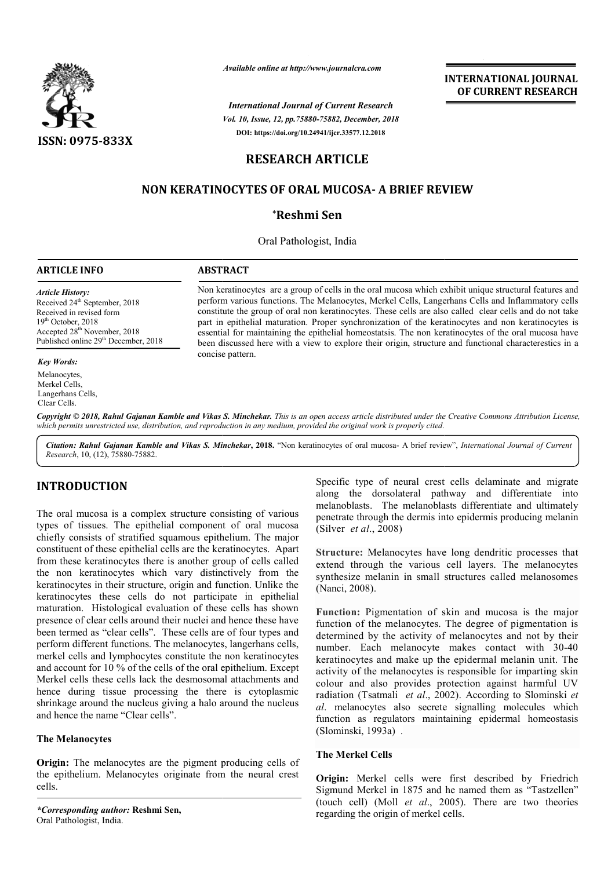

*Available online at http://www.journalcra.com*

*International Journal of Current Research Vol. 10, Issue, 12, pp.75880-75882, December, 2018* **DOI: https://doi.org/10.24941/ijcr.33577.12.2018**

**INTERNATIONAL JOURNAL OF CURRENT RESEARCH**

# **RESEARCH ARTICLE**

## **NON KERATINOCYTES OF ORAL MUCOSA- A BRIEF REVIEW**

## **\*Reshmi Sen**

Oral Pathologist, India

#### **ARTICLE INFO ABSTRACT**

*Article History:* Received 24<sup>th</sup> September, 2018 Received in revised form 19<sup>th</sup> October, 2018 Accepted 28<sup>th</sup> November, 2018 Published online 29<sup>th</sup> December, 2018

#### *Key Words:*

Melanocytes, Merkel Cells, Langerhans Cells, Clear Cells.

Non keratinocytes keratinocytes are a group of cells in the oral mucosa which exhibit unique structural features and perform various functions. The Melanocytes, Merkel Cells, Langerhans Cells and Inflammatory cells constitute the group of oral non keratinocytes. These cells are also called clear cells and do not take part in epithelial maturation. Proper synchronization of the keratinocytes and non keratinocytes is essential for maintaining the epithelial homeostatsis. The non keratinocytes of the oral mucosa have been discussed here with a view to explore their origin, structure and functional characterestics in a concise pattern.

Copyright © 2018, Rahul Gajanan Kamble and Vikas S. Minchekar. This is an open access article distributed under the Creative Commons Attribution License, which permits unrestricted use, distribution, and reproduction in any medium, provided the original work is properly cited.

Citation: Rahul Gajanan Kamble and Vikas S. Minchekar, 2018. "Non keratinocytes of oral mucosa- A brief review", International Journal of Current *Research*, 10, (12), 75880-75882.

## **INTRODUCTION**

The oral mucosa is a complex structure consisting of various types of tissues. The epithelial component of oral mucosa chiefly consists of stratified squamous epithelium. The major constituent of these epithelial cells are the keratinocytes. Apart from these keratinocytes there is another group of cells called the non keratinocytes which vary distinctively from the keratinocytes in their structure, origin and function. Unlike the keratinocytes these cells do not participate in epithelial maturation. Histological evaluation of these cells has shown presence of clear cells around their nuclei and hence these have been termed as "clear cells". These cells are of four types and perform different functions. The melanocytes, langerhans cells, merkel cells and lymphocytes constitute the non keratinocytes and account for 10 % of the cells of the oral epithelium. Except Merkel cells these cells lack the desmosomal attachments and hence during tissue processing the there is cytoplasmic shrinkage around the nucleus giving a halo around the nucleus and hence the name "Clear cells".

### **The Melanocytes**

**Origin:** The melanocytes are the pigment producing cells of the epithelium. Melanocytes originate from the neural crest cells.

*\*Corresponding author:* **Reshmi Sen,** Oral Pathologist, India.

Specific type of neural crest cells delaminate and migrate along the dorsolateral pathway pathway and differentiate into melanoblasts. The melanoblasts differentiate and ultimately penetrate through the dermis into epidermis producing melanin (Silver *et al*., 2008)

Structure: Melanocytes have long dendritic processes that extend through the various cell layers. The melanocytes synthesize melanin in small structures called melanosomes (Nanci, 2008).

**Function:** Pigmentation of skin and mucosa is the major function of the melanocytes. The degree of pigmentation is determined by the activity of melanocytes and not by their number. Each melanocyte makes contact with 30-40 keratinocytes and make up the epidermal melanin unit. The activity of the melanocytes is responsible for imparting skin colour and also provides protection against harmful UV radiation (Tsatmali et al., 2002). According to Slominski et *al*. melanocytes also secrete signalling molecules which function as regulators maintaining epidermal homeostasis (Slominski, 1993a) .

### **The Merkel Cells**

**Origin:** Merkel cells were first described by Friedrich Sigmund Merkel in 1875 and he named them as "Tastzellen" (touch cell) (Moll *et al.*, 2005). There are two theories regarding the origin of merkel cells.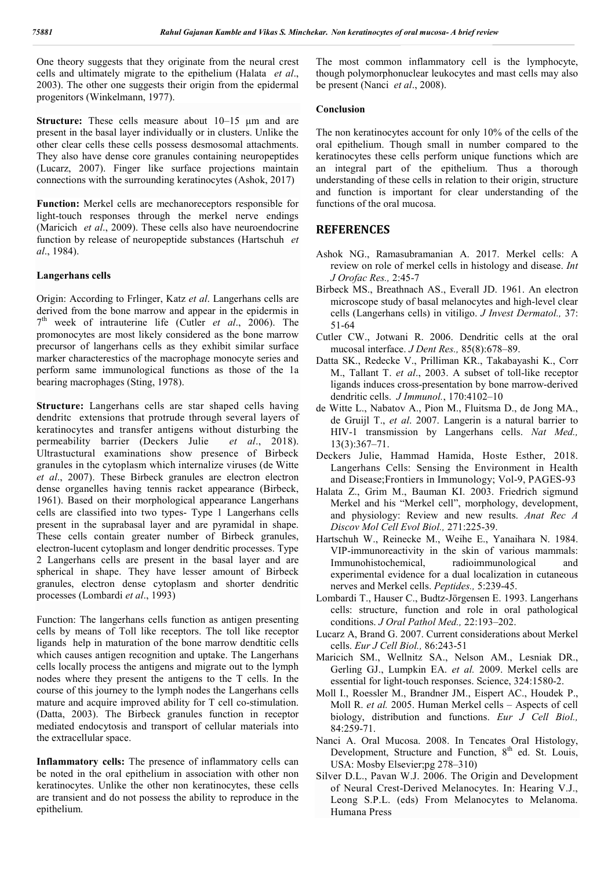One theory suggests that they originate from the neural crest cells and ultimately migrate to the epithelium (Halata *et al*., 2003). The other one suggests their origin from the epidermal progenitors (Winkelmann, 1977).

**Structure:** These cells measure about 10–15 μm and are present in the basal layer individually or in clusters. Unlike the other clear cells these cells possess desmosomal attachments. They also have dense core granules containing neuropeptides (Lucarz, 2007). Finger like surface projections maintain connections with the surrounding keratinocytes (Ashok, 2017)

**Function:** Merkel cells are mechanoreceptors responsible for light-touch responses through the merkel nerve endings (Maricich *et al*., 2009). These cells also have neuroendocrine function by release of neuropeptide substances (Hartschuh *et al*., 1984).

#### **Langerhans cells**

Origin: According to Frlinger, Katz *et al*. Langerhans cells are derived from the bone marrow and appear in the epidermis in  $7<sup>th</sup>$  week of intrauterine life (Cutler *et al.*, 2006). The promonocytes are most likely considered as the bone marrow precursor of langerhans cells as they exhibit similar surface marker characterestics of the macrophage monocyte series and perform same immunological functions as those of the 1a bearing macrophages (Sting, 1978).

**Structure:** Langerhans cells are star shaped cells having dendritc extensions that protrude through several layers of keratinocytes and transfer antigens without disturbing the permeability barrier (Deckers Julie *et al*., 2018). Ultrastuctural examinations show presence of Birbeck granules in the cytoplasm which internalize viruses (de Witte *et al*., 2007). These Birbeck granules are electron electron dense organelles having tennis racket appearance (Birbeck, 1961). Based on their morphological appearance Langerhans cells are classified into two types- Type 1 Langerhans cells present in the suprabasal layer and are pyramidal in shape. These cells contain greater number of Birbeck granules, electron-lucent cytoplasm and longer dendritic processes. Type 2 Langerhans cells are present in the basal layer and are spherical in shape. They have lesser amount of Birbeck granules, electron dense cytoplasm and shorter dendritic processes (Lombardi *et al*., 1993)

Function: The langerhans cells function as antigen presenting cells by means of Toll like receptors. The toll like receptor ligands help in maturation of the bone marrow dendtitic cells which causes antigen recognition and uptake. The Langerhans cells locally process the antigens and migrate out to the lymph nodes where they present the antigens to the T cells. In the course of this journey to the lymph nodes the Langerhans cells mature and acquire improved ability for T cell co-stimulation. (Datta, 2003). The Birbeck granules function in receptor mediated endocytosis and transport of cellular materials into the extracellular space.

**Inflammatory cells:** The presence of inflammatory cells can be noted in the oral epithelium in association with other non keratinocytes. Unlike the other non keratinocytes, these cells are transient and do not possess the ability to reproduce in the epithelium.

The most common inflammatory cell is the lymphocyte, though polymorphonuclear leukocytes and mast cells may also be present (Nanci *et al*., 2008).

#### **Conclusion**

The non keratinocytes account for only 10% of the cells of the oral epithelium. Though small in number compared to the keratinocytes these cells perform unique functions which are an integral part of the epithelium. Thus a thorough understanding of these cells in relation to their origin, structure and function is important for clear understanding of the functions of the oral mucosa.

## **REFERENCES**

- Ashok NG., Ramasubramanian A. 2017. Merkel cells: A review on role of merkel cells in histology and disease. *Int J Orofac Res.,* 2:45-7
- Birbeck MS., Breathnach AS., Everall JD. 1961. An electron microscope study of basal melanocytes and high-level clear cells (Langerhans cells) in vitiligo. *J Invest Dermatol.,* 37: 51-64
- Cutler CW., Jotwani R. 2006. Dendritic cells at the oral mucosal interface. *J Dent Res.,* 85(8):678–89.
- Datta SK., Redecke V., Prilliman KR., Takabayashi K., Corr M., Tallant T. *et al*., 2003. A subset of toll-like receptor ligands induces cross-presentation by bone marrow-derived dendritic cells. *J Immunol.*, 170:4102–10
- de Witte L., Nabatov A., Pion M., Fluitsma D., de Jong MA., de Gruijl T., *et al*. 2007. Langerin is a natural barrier to HIV-1 transmission by Langerhans cells. *Nat Med.,* 13(3):367–71.
- Deckers Julie, Hammad Hamida, Hoste Esther, 2018. Langerhans Cells: Sensing the Environment in Health and Disease;Frontiers in Immunology; Vol-9, PAGES-93
- Halata Z., Grim M., Bauman KI. 2003. Friedrich sigmund Merkel and his "Merkel cell", morphology, development, and physiology: Review and new results. *Anat Rec A Discov Mol Cell Evol Biol.,* 271:225-39.
- Hartschuh W., Reinecke M., Weihe E., Yanaihara N. 1984. VIP-immunoreactivity in the skin of various mammals: Immunohistochemical, radioimmunological and experimental evidence for a dual localization in cutaneous nerves and Merkel cells. *Peptides.,* 5:239-45.
- Lombardi T., Hauser C., Budtz-Jörgensen E. 1993. Langerhans cells: structure, function and role in oral pathological conditions. *J Oral Pathol Med.,* 22:193–202.
- Lucarz A, Brand G. 2007. Current considerations about Merkel cells. *Eur J Cell Biol.,* 86:243-51
- Maricich SM., Wellnitz SA., Nelson AM., Lesniak DR., Gerling GJ., Lumpkin EA. *et al.* 2009. Merkel cells are essential for light-touch responses. Science, 324:1580-2.
- Moll I., Roessler M., Brandner JM., Eispert AC., Houdek P., Moll R. *et al.* 2005. Human Merkel cells – Aspects of cell biology, distribution and functions. *Eur J Cell Biol.,* 84:259-71.
- Nanci A. Oral Mucosa. 2008. In Tencates Oral Histology, Development, Structure and Function,  $8<sup>th</sup>$  ed. St. Louis, USA: Mosby Elsevier;pg 278–310)
- Silver D.L., Pavan W.J. 2006. The Origin and Development of Neural Crest-Derived Melanocytes. In: Hearing V.J., Leong S.P.L. (eds) From Melanocytes to Melanoma. Humana Press